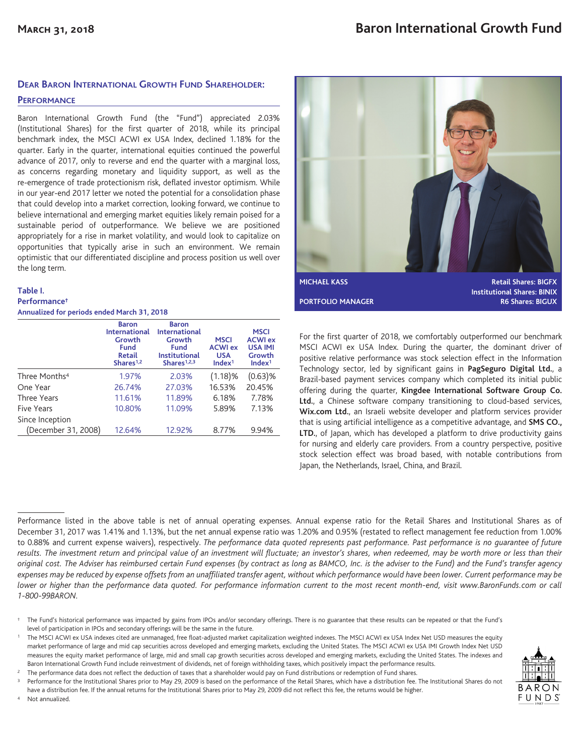## **DEAR BARON INTERNATIONAL GROWTH FUND SHAREHOLDER:**

#### **PERFORMANCE**

Baron International Growth Fund (the "Fund") appreciated 2.03% (Institutional Shares) for the first quarter of 2018, while its principal benchmark index, the MSCI ACWI ex USA Index, declined 1.18% for the quarter. Early in the quarter, international equities continued the powerful advance of 2017, only to reverse and end the quarter with a marginal loss, as concerns regarding monetary and liquidity support, as well as the re-emergence of trade protectionism risk, deflated investor optimism. While in our year-end 2017 letter we noted the potential for a consolidation phase that could develop into a market correction, looking forward, we continue to believe international and emerging market equities likely remain poised for a sustainable period of outperformance. We believe we are positioned appropriately for a rise in market volatility, and would look to capitalize on opportunities that typically arise in such an environment. We remain optimistic that our differentiated discipline and process position us well over the long term.

#### **Table I. Performance†**

<sup>4</sup> Not annualized.

**Annualized for periods ended March 31, 2018**

|                           | <b>Baron</b><br><b>International</b><br>Growth<br><b>Fund</b><br><b>Retail</b><br>Shares <sup>1,2</sup> | <b>Baron</b><br><b>International</b><br>Growth<br><b>Fund</b><br><b>Institutional</b><br>Shares <sup>1,2,3</sup> | <b>MSCI</b><br><b>ACWI ex</b><br><b>USA</b><br>Index <sup>1</sup> | <b>MSCI</b><br><b>ACWI</b> ex<br><b>USA IMI</b><br>Growth<br>Index <sup>1</sup> |
|---------------------------|---------------------------------------------------------------------------------------------------------|------------------------------------------------------------------------------------------------------------------|-------------------------------------------------------------------|---------------------------------------------------------------------------------|
| Three Months <sup>4</sup> | 1.97%                                                                                                   | 2.03%                                                                                                            | $(1.18)$ %                                                        | $(0.63)$ %                                                                      |
| One Year                  | 26.74%                                                                                                  | 27.03%                                                                                                           | 16.53%                                                            | 20.45%                                                                          |
| Three Years               | 11.61%                                                                                                  | 11.89%                                                                                                           | 6.18%                                                             | 7.78%                                                                           |
| Five Years                | 10.80%                                                                                                  | 11.09%                                                                                                           | 5.89%                                                             | 7.13%                                                                           |
| Since Inception           |                                                                                                         |                                                                                                                  |                                                                   |                                                                                 |
| (December 31, 2008)       | 12.64%                                                                                                  | 12.92%                                                                                                           | 8.77%                                                             | 9.94%                                                                           |



For the first quarter of 2018, we comfortably outperformed our benchmark MSCI ACWI ex USA Index. During the quarter, the dominant driver of positive relative performance was stock selection effect in the Information Technology sector, led by significant gains in **PagSeguro Digital Ltd.**, a Brazil-based payment services company which completed its initial public offering during the quarter, **Kingdee International Software Group Co. Ltd.**, a Chinese software company transitioning to cloud-based services, **Wix.com Ltd.**, an Israeli website developer and platform services provider that is using artificial intelligence as a competitive advantage, and **SMS CO.,** LTD., of Japan, which has developed a platform to drive productivity gains for nursing and elderly care providers. From a country perspective, positive stock selection effect was broad based, with notable contributions from Japan, the Netherlands, Israel, China, and Brazil.

Performance listed in the above table is net of annual operating expenses. Annual expense ratio for the Retail Shares and Institutional Shares as of December 31, 2017 was 1.41% and 1.13%, but the net annual expense ratio was 1.20% and 0.95% (restated to reflect management fee reduction from 1.00% to 0.88% and current expense waivers), respectively. *The performance data quoted represents past performance. Past performance is no guarantee of future results. The investment return and principal value of an investment will fluctuate; an investor's shares, when redeemed, may be worth more or less than their original cost. The Adviser has reimbursed certain Fund expenses (by contract as long as BAMCO, Inc. is the adviser to the Fund) and the Fund's transfer agency expenses may be reduced by expense offsets from an unaffiliated transfer agent, without which performance would have been lower. Current performance may be lower or higher than the performance data quoted. For performance information current to the most recent month-end, visit www.BaronFunds.com or call 1-800-99BARON.*

<sup>2</sup> The performance data does not reflect the deduction of taxes that a shareholder would pay on Fund distributions or redemption of Fund shares.

Performance for the Institutional Shares prior to May 29, 2009 is based on the performance of the Retail Shares, which have a distribution fee. The Institutional Shares do not have a distribution fee. If the annual returns for the Institutional Shares prior to May 29, 2009 did not reflect this fee, the returns would be higher.



<sup>†</sup> The Fund's historical performance was impacted by gains from IPOs and/or secondary offerings. There is no guarantee that these results can be repeated or that the Fund's level of participation in IPOs and secondary offerings will be the same in the future.

<sup>1</sup> The MSCI ACWI ex USA indexes cited are unmanaged, free float-adjusted market capitalization weighted indexes. The MSCI ACWI ex USA Index Net USD measures the equity market performance of large and mid cap securities across developed and emerging markets, excluding the United States. The MSCI ACWI ex USA IMI Growth Index Net USD measures the equity market performance of large, mid and small cap growth securities across developed and emerging markets, excluding the United States. The indexes and Baron International Growth Fund include reinvestment of dividends, net of foreign withholding taxes, which positively impact the performance results.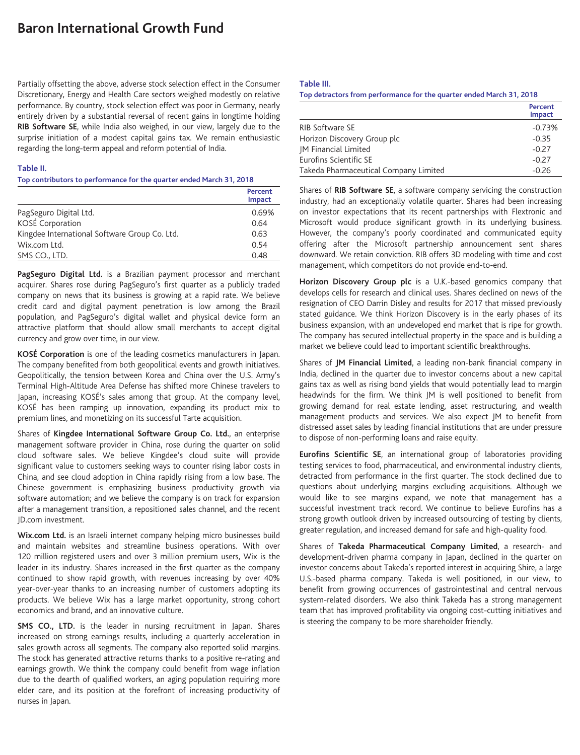# **Baron International Growth Fund**

Partially offsetting the above, adverse stock selection effect in the Consumer Discretionary, Energy and Health Care sectors weighed modestly on relative performance. By country, stock selection effect was poor in Germany, nearly entirely driven by a substantial reversal of recent gains in longtime holding **RIB Software SE**, while India also weighed, in our view, largely due to the surprise initiation of a modest capital gains tax. We remain enthusiastic regarding the long-term appeal and reform potential of India.

#### **Table II.**

#### **Top contributors to performance for the quarter ended March 31, 2018**

|                                               | Percent<br>Impact |
|-----------------------------------------------|-------------------|
| PagSeguro Digital Ltd.                        | 0.69%             |
| KOSÉ Corporation                              | 0.64              |
| Kingdee International Software Group Co. Ltd. | 0.63              |
| Wix.com Ltd.                                  | 0.54              |
| SMS CO., LTD.                                 | 0.48              |

PagSeguro Digital Ltd. is a Brazilian payment processor and merchant acquirer. Shares rose during PagSeguro's first quarter as a publicly traded company on news that its business is growing at a rapid rate. We believe credit card and digital payment penetration is low among the Brazil population, and PagSeguro's digital wallet and physical device form an attractive platform that should allow small merchants to accept digital currency and grow over time, in our view.

**KOSÉ Corporation** is one of the leading cosmetics manufacturers in Japan. The company benefited from both geopolitical events and growth initiatives. Geopolitically, the tension between Korea and China over the U.S. Army's Terminal High-Altitude Area Defense has shifted more Chinese travelers to Japan, increasing KOSÉ's sales among that group. At the company level, KOSÉ has been ramping up innovation, expanding its product mix to premium lines, and monetizing on its successful Tarte acquisition.

Shares of **Kingdee International Software Group Co. Ltd.**, an enterprise management software provider in China, rose during the quarter on solid cloud software sales. We believe Kingdee's cloud suite will provide significant value to customers seeking ways to counter rising labor costs in China, and see cloud adoption in China rapidly rising from a low base. The Chinese government is emphasizing business productivity growth via software automation; and we believe the company is on track for expansion after a management transition, a repositioned sales channel, and the recent JD.com investment.

**Wix.com Ltd.** is an Israeli internet company helping micro businesses build and maintain websites and streamline business operations. With over 120 million registered users and over 3 million premium users, Wix is the leader in its industry. Shares increased in the first quarter as the company continued to show rapid growth, with revenues increasing by over 40% year-over-year thanks to an increasing number of customers adopting its products. We believe Wix has a large market opportunity, strong cohort economics and brand, and an innovative culture.

**SMS CO., LTD.** is the leader in nursing recruitment in Japan. Shares increased on strong earnings results, including a quarterly acceleration in sales growth across all segments. The company also reported solid margins. The stock has generated attractive returns thanks to a positive re-rating and earnings growth. We think the company could benefit from wage inflation due to the dearth of qualified workers, an aging population requiring more elder care, and its position at the forefront of increasing productivity of nurses in Japan.

#### **Table III.**

**Top detractors from performance for the quarter ended March 31, 2018**

|                                       | Percent<br>Impact |
|---------------------------------------|-------------------|
| <b>RIB Software SE</b>                | $-0.73%$          |
| Horizon Discovery Group plc           | $-0.35$           |
| <b>IM Financial Limited</b>           | $-0.27$           |
| Eurofins Scientific SE                | $-0.27$           |
| Takeda Pharmaceutical Company Limited | $-0.26$           |

Shares of **RIB Software SE**, a software company servicing the construction industry, had an exceptionally volatile quarter. Shares had been increasing on investor expectations that its recent partnerships with Flextronic and Microsoft would produce significant growth in its underlying business. However, the company's poorly coordinated and communicated equity offering after the Microsoft partnership announcement sent shares downward. We retain conviction. RIB offers 3D modeling with time and cost management, which competitors do not provide end-to-end.

**Horizon Discovery Group plc** is a U.K.-based genomics company that develops cells for research and clinical uses. Shares declined on news of the resignation of CEO Darrin Disley and results for 2017 that missed previously stated guidance. We think Horizon Discovery is in the early phases of its business expansion, with an undeveloped end market that is ripe for growth. The company has secured intellectual property in the space and is building a market we believe could lead to important scientific breakthroughs.

Shares of **JM Financial Limited**, a leading non-bank financial company in India, declined in the quarter due to investor concerns about a new capital gains tax as well as rising bond yields that would potentially lead to margin headwinds for the firm. We think JM is well positioned to benefit from growing demand for real estate lending, asset restructuring, and wealth management products and services. We also expect JM to benefit from distressed asset sales by leading financial institutions that are under pressure to dispose of non-performing loans and raise equity.

**Eurofins Scientific SE**, an international group of laboratories providing testing services to food, pharmaceutical, and environmental industry clients, detracted from performance in the first quarter. The stock declined due to questions about underlying margins excluding acquisitions. Although we would like to see margins expand, we note that management has a successful investment track record. We continue to believe Eurofins has a strong growth outlook driven by increased outsourcing of testing by clients, greater regulation, and increased demand for safe and high-quality food.

Shares of **Takeda Pharmaceutical Company Limited**, a research- and development-driven pharma company in Japan, declined in the quarter on investor concerns about Takeda's reported interest in acquiring Shire, a large U.S.-based pharma company. Takeda is well positioned, in our view, to benefit from growing occurrences of gastrointestinal and central nervous system-related disorders. We also think Takeda has a strong management team that has improved profitability via ongoing cost-cutting initiatives and is steering the company to be more shareholder friendly.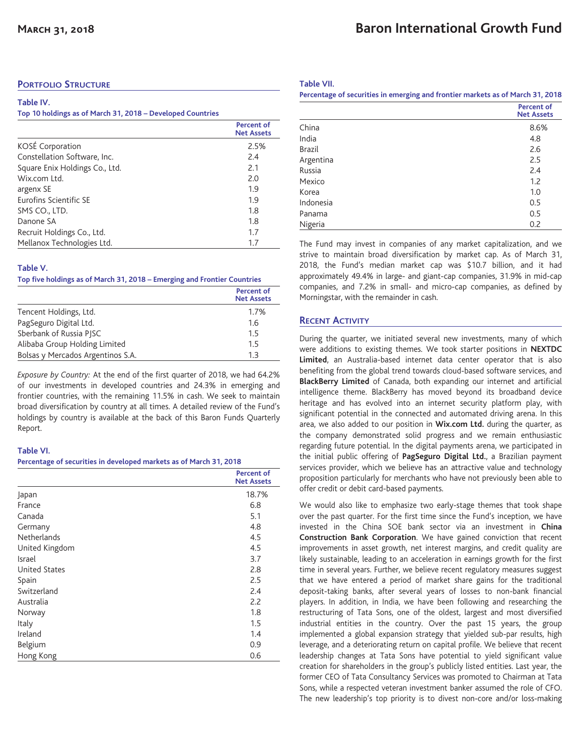### **PORTFOLIO STRUCTURE**

#### **Table IV.**

#### **Top 10 holdings as of March 31, 2018 – Developed Countries**

|                                | <b>Percent of</b><br><b>Net Assets</b> |  |
|--------------------------------|----------------------------------------|--|
| KOSÉ Corporation               | 2.5%                                   |  |
| Constellation Software, Inc.   | 2.4                                    |  |
| Square Enix Holdings Co., Ltd. | 2.1                                    |  |
| Wix.com Itd.                   | 2.0                                    |  |
| argenx SE                      | 1.9                                    |  |
| Eurofins Scientific SE         | 1.9                                    |  |
| SMS CO., LTD.                  | 1.8                                    |  |
| Danone SA                      | 1.8                                    |  |
| Recruit Holdings Co., Ltd.     | 1.7                                    |  |
| Mellanox Technologies Ltd.     | 1.7                                    |  |

#### **Table V.**

#### **Top five holdings as of March 31, 2018 – Emerging and Frontier Countries**

|                                   | Percent of<br><b>Net Assets</b> |
|-----------------------------------|---------------------------------|
| Tencent Holdings, Ltd.            | 1.7%                            |
| PagSeguro Digital Ltd.            | 1.6                             |
| Sberbank of Russia PISC           | 1.5                             |
| Alibaba Group Holding Limited     | 1.5                             |
| Bolsas y Mercados Argentinos S.A. | 1 ว                             |

*Exposure by Country:* At the end of the first quarter of 2018, we had 64.2% of our investments in developed countries and 24.3% in emerging and frontier countries, with the remaining 11.5% in cash. We seek to maintain broad diversification by country at all times. A detailed review of the Fund's holdings by country is available at the back of this Baron Funds Quarterly Report.

### **Table VI.**

#### **Percentage of securities in developed markets as of March 31, 2018**

|                      | <b>Percent of</b><br><b>Net Assets</b> |
|----------------------|----------------------------------------|
| Japan                | 18.7%                                  |
| France               | 6.8                                    |
| Canada               | 5.1                                    |
| Germany              | 4.8                                    |
| <b>Netherlands</b>   | 4.5                                    |
| United Kingdom       | 4.5                                    |
| Israel               | 3.7                                    |
| <b>United States</b> | 2.8                                    |
| Spain                | 2.5                                    |
| Switzerland          | 2.4                                    |
| Australia            | 2.2                                    |
| Norway               | 1.8                                    |
| Italy                | 1.5                                    |
| Ireland              | 1.4                                    |
| Belgium              | 0.9                                    |
| Hong Kong            | 0.6                                    |

**Table VII.**

| Percentage of securities in emerging and frontier markets as of March 31, 2018 |                                        |
|--------------------------------------------------------------------------------|----------------------------------------|
|                                                                                | <b>Percent of</b><br><b>Net Assets</b> |
| China                                                                          | 8.6%                                   |
| India                                                                          | 4.8                                    |
| <b>Brazil</b>                                                                  | 2.6                                    |
| Argentina                                                                      | 2.5                                    |
| Russia                                                                         | 2.4                                    |
| Mexico                                                                         | 1.2                                    |
| Korea                                                                          | 1.0                                    |
| Indonesia                                                                      | 0.5                                    |
| Panama                                                                         | 0.5                                    |
| Nigeria                                                                        | 0.2                                    |

The Fund may invest in companies of any market capitalization, and we strive to maintain broad diversification by market cap. As of March 31, 2018, the Fund's median market cap was \$10.7 billion, and it had approximately 49.4% in large- and giant-cap companies, 31.9% in mid-cap companies, and 7.2% in small- and micro-cap companies, as defined by Morningstar, with the remainder in cash.

### **RECENT ACTIVITY**

During the quarter, we initiated several new investments, many of which were additions to existing themes. We took starter positions in **NEXTDC Limited**, an Australia-based internet data center operator that is also benefiting from the global trend towards cloud-based software services, and **BlackBerry Limited** of Canada, both expanding our internet and artificial intelligence theme. BlackBerry has moved beyond its broadband device heritage and has evolved into an internet security platform play, with significant potential in the connected and automated driving arena. In this area, we also added to our position in **Wix.com Ltd.** during the quarter, as the company demonstrated solid progress and we remain enthusiastic regarding future potential. In the digital payments arena, we participated in the initial public offering of **PagSeguro Digital Ltd.**, a Brazilian payment services provider, which we believe has an attractive value and technology proposition particularly for merchants who have not previously been able to offer credit or debit card-based payments.

We would also like to emphasize two early-stage themes that took shape over the past quarter. For the first time since the Fund's inception, we have invested in the China SOE bank sector via an investment in **China Construction Bank Corporation**. We have gained conviction that recent improvements in asset growth, net interest margins, and credit quality are likely sustainable, leading to an acceleration in earnings growth for the first time in several years. Further, we believe recent regulatory measures suggest that we have entered a period of market share gains for the traditional deposit-taking banks, after several years of losses to non-bank financial players. In addition, in India, we have been following and researching the restructuring of Tata Sons, one of the oldest, largest and most diversified industrial entities in the country. Over the past 15 years, the group implemented a global expansion strategy that yielded sub-par results, high leverage, and a deteriorating return on capital profile. We believe that recent leadership changes at Tata Sons have potential to yield significant value creation for shareholders in the group's publicly listed entities. Last year, the former CEO of Tata Consultancy Services was promoted to Chairman at Tata Sons, while a respected veteran investment banker assumed the role of CFO. The new leadership's top priority is to divest non-core and/or loss-making